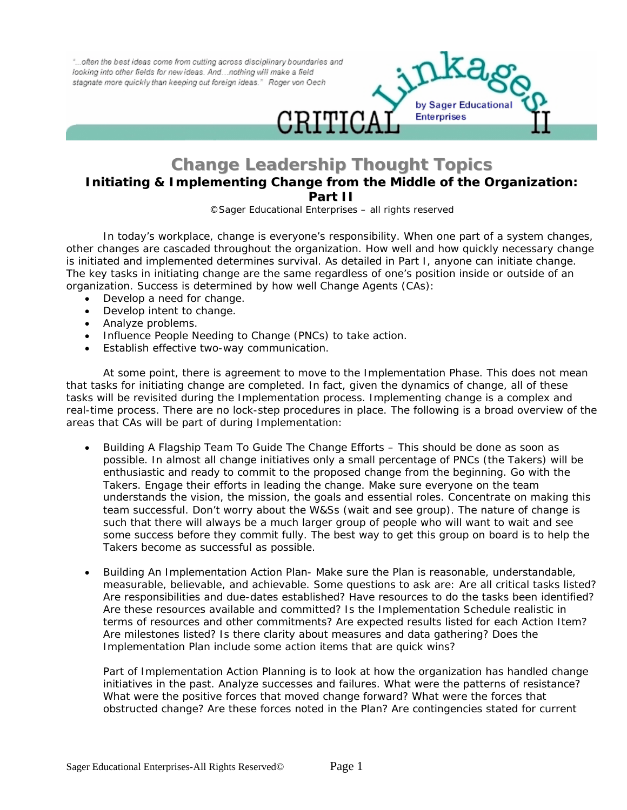"... often the best ideas come from cutting across disciplinary boundaries and looking into other fields for new ideas. And ... nothing will make a field stagnate more quickly than keeping out foreign ideas." Roger von Oech



## **Change Leadership Thought Topics Initiating & Implementing Change from the Middle of the Organization:**

**Part II**

*©Sager Educational Enterprises – all rights reserved*

In today's workplace, change is everyone's responsibility. When one part of a system changes, other changes are cascaded throughout the organization. How well and how quickly necessary change is initiated and implemented determines survival. As detailed in Part I, anyone can initiate change. The key tasks in initiating change are the same regardless of one's position inside or outside of an organization. Success is determined by how well Change Agents (CAs):

- Develop a need for change.
- Develop intent to change.
- Analyze problems.
- Influence People Needing to Change (PNCs) to take action.
- Establish effective two-way communication.

At some point, there is agreement to move to the Implementation Phase. This does not mean that tasks for initiating change are completed. In fact, given the dynamics of change, all of these tasks will be revisited during the Implementation process. Implementing change is a complex and real-time process. There are no lock-step procedures in place. The following is a broad overview of the areas that CAs will be part of during Implementation:

- Building A Flagship Team To Guide The Change Efforts This should be done as soon as possible. In almost all change initiatives only a small percentage of PNCs (the Takers) will be enthusiastic and ready to commit to the proposed change from the beginning. Go with the Takers. Engage their efforts in leading the change. Make sure everyone on the team understands the vision, the mission, the goals and essential roles. Concentrate on making this team successful. Don't worry about the W&Ss (wait and see group). The nature of change is such that there will always be a much larger group of people who will want to wait and see some success before they commit fully. The best way to get this group on board is to help the Takers become as successful as possible.
- Building An Implementation Action Plan- Make sure the Plan is reasonable, understandable, measurable, believable, and achievable. Some questions to ask are: Are all critical tasks listed? Are responsibilities and due-dates established? Have resources to do the tasks been identified? Are these resources available and committed? Is the Implementation Schedule realistic in terms of resources and other commitments? Are expected results listed for each Action Item? Are milestones listed? Is there clarity about measures and data gathering? Does the Implementation Plan include some action items that are quick wins?

Part of Implementation Action Planning is to look at how the organization has handled change initiatives in the past. Analyze successes and failures. What were the patterns of resistance? What were the positive forces that moved change forward? What were the forces that obstructed change? Are these forces noted in the Plan? Are contingencies stated for current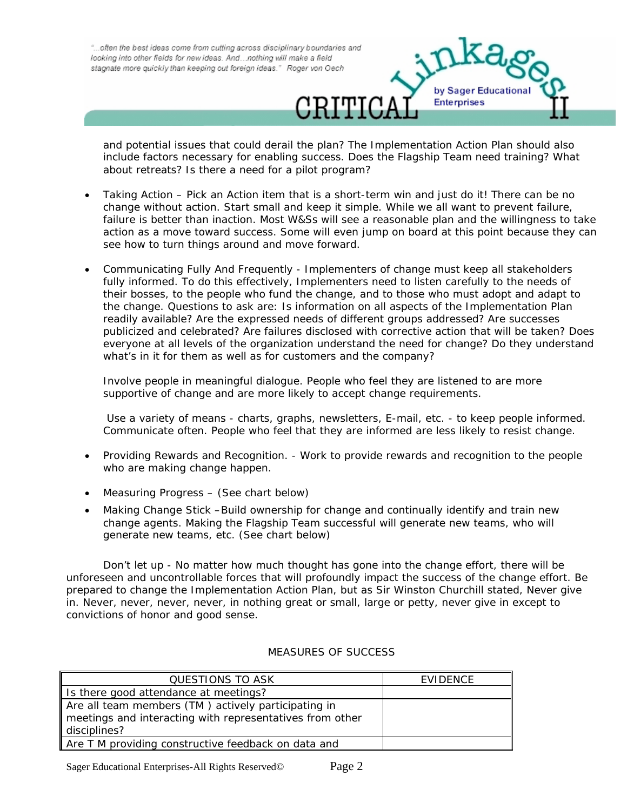"...often the best ideas come from cutting across disciplinary boundaries and looking into other fields for new ideas. And ... nothing will make a field stagnate more quickly than keeping out foreign ideas." Roger von Oech



and potential issues that could derail the plan? The Implementation Action Plan should also include factors necessary for enabling success. Does the Flagship Team need training? What about retreats? Is there a need for a pilot program?

- Taking Action Pick an Action item that is a short-term win and just do it! There can be no change without action. Start small and keep it simple. While we all want to prevent failure, failure is better than inaction. Most W&Ss will see a reasonable plan and the willingness to take action as a move toward success. Some will even jump on board at this point because they can see how to turn things around and move forward.
- Communicating Fully And Frequently Implementers of change must keep all stakeholders fully informed. To do this effectively, Implementers need to listen carefully to the needs of their bosses, to the people who fund the change, and to those who must adopt and adapt to the change. Questions to ask are: Is information on all aspects of the Implementation Plan readily available? Are the expressed needs of different groups addressed? Are successes publicized and celebrated? Are failures disclosed with corrective action that will be taken? Does everyone at all levels of the organization understand the need for change? Do they understand what's in it for them as well as for customers and the company?

Involve people in meaningful dialogue. People who feel they are listened to are more supportive of change and are more likely to accept change requirements.

 Use a variety of means - charts, graphs, newsletters, E-mail, etc. - to keep people informed. Communicate often. People who feel that they are informed are less likely to resist change.

- Providing Rewards and Recognition. Work to provide rewards and recognition to the people who are making change happen.
- Measuring Progress (See chart below)
- Making Change Stick –Build ownership for change and continually identify and train new change agents. Making the Flagship Team successful will generate new teams, who will generate new teams, etc. (See chart below)

Don't let up - No matter how much thought has gone into the change effort, there will be unforeseen and uncontrollable forces that will profoundly impact the success of the change effort. Be prepared to change the Implementation Action Plan, but as Sir Winston Churchill stated, Never give in. Never, never, never, never, in nothing great or small, large or petty, never give in except to convictions of honor and good sense.

## MEASURES OF SUCCESS

| QUESTIONS TO ASK                                         | EVIDENCE |
|----------------------------------------------------------|----------|
| Is there good attendance at meetings?                    |          |
| Are all team members (TM) actively participating in      |          |
| meetings and interacting with representatives from other |          |
| disciplines?                                             |          |
| Are T M providing constructive feedback on data and      |          |